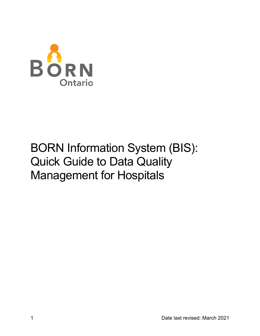

# BORN Information System (BIS): Quick Guide to Data Quality Management for Hospitals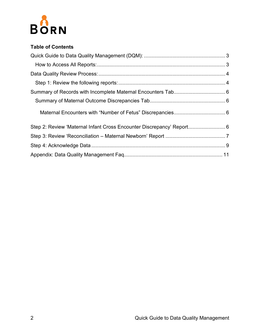

#### **Table of Contents**

| Step 2: Review 'Maternal Infant Cross Encounter Discrepancy' Report 6 |  |
|-----------------------------------------------------------------------|--|
|                                                                       |  |
|                                                                       |  |
|                                                                       |  |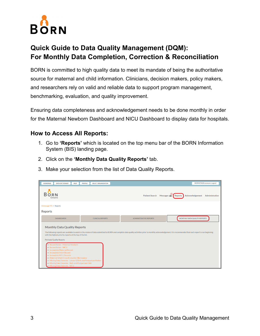

## <span id="page-2-0"></span>**Quick Guide to Data Quality Management (DQM): For Monthly Data Completion, Correction & Reconciliation**

BORN is committed to high quality data to meet its mandate of being the authoritative source for maternal and child information. Clinicians, decision makers, policy makers, and researchers rely on valid and reliable data to support program management, benchmarking, evaluation, and quality improvement.

Ensuring data completeness and acknowledgement needs to be done monthly in order for the Maternal Newborn Dashboard and NICU Dashboard to display data for hospitals.

#### <span id="page-2-1"></span>**How to Access All Reports:**

- 1. Go to **'Reports'** which is located on the top menu bar of the BORN Information System (BIS) landing page.
- 2. Click on the **'Monthly Data Quality Reports'** tab.
- 3. Make your selection from the list of Data Quality Reports.

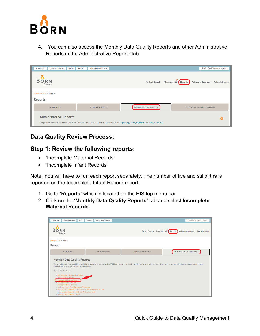

4. You can also access the Monthly Data Quality Reports and other Administrative Reports in the Administrative Reports tab.

| <b>HOMEPAGE</b>                                      | <b>DATA DICTIONARY</b>        | <b>HELP</b> | <b>PROFILE</b> | <b>SELECT ORGANIZATION</b> |                                                                                                                                         | <b>BORNSTAGE\ereeson, Logout</b> |
|------------------------------------------------------|-------------------------------|-------------|----------------|----------------------------|-----------------------------------------------------------------------------------------------------------------------------------------|----------------------------------|
| <b>BORN</b>                                          | Ontario                       |             |                |                            | <b>Patient Search</b><br>Messages<br>Acknowledgement<br>Reports                                                                         | Administration                   |
| Homepage STG $\rightarrow$ Reports<br><b>Reports</b> |                               |             |                |                            |                                                                                                                                         |                                  |
|                                                      | <b>DASHBOARDS</b>             |             |                | <b>CLINICAL REPORTS</b>    | <b>ADMINISTRATIVE REPORTS</b><br>MONTHLY DATA QUALITY REPORTS                                                                           |                                  |
|                                                      | <b>Administrative Reports</b> |             |                |                            | To open and view the Reporting Guide for Administrative Reports please click on this link: Reporting_Guide_for_Hospital_Users_Admin.pdf |                                  |

## <span id="page-3-0"></span>**Data Quality Review Process:**

#### <span id="page-3-1"></span>**Step 1: Review the following reports:**

- 'Incomplete Maternal Records'
- 'Incomplete Infant Records'

Note: You will have to run each report separately. The number of live and stillbirths is reported on the Incomplete Infant Record report.

- 1. Go to **'Reports'** which is located on the BIS top menu bar
- 2. Click on the **'Monthly Data Quality Reports'** tab and select **Incomplete Maternal Records.**

| <b>DATA DICTIONARY</b><br><b>HELP</b><br><b>HOMEPAGE</b>                                                                                                                                                                                                                                                                                                             | <b>PROFILE</b><br><b>SELECT ORGANIZATION</b> |                               | <b>BORNSTAGE\ereeson, Logout</b>                                                                                                                                                                                 |
|----------------------------------------------------------------------------------------------------------------------------------------------------------------------------------------------------------------------------------------------------------------------------------------------------------------------------------------------------------------------|----------------------------------------------|-------------------------------|------------------------------------------------------------------------------------------------------------------------------------------------------------------------------------------------------------------|
| R N<br>Ontario                                                                                                                                                                                                                                                                                                                                                       |                                              | <b>Patient Search</b>         | Acknowledgement<br>Messages $\geq$<br>Administration<br>Reports                                                                                                                                                  |
| Homepage STG $\rightarrow$ Reports                                                                                                                                                                                                                                                                                                                                   |                                              |                               |                                                                                                                                                                                                                  |
| <b>Reports</b>                                                                                                                                                                                                                                                                                                                                                       |                                              |                               |                                                                                                                                                                                                                  |
| <b>DASHBOARDS</b>                                                                                                                                                                                                                                                                                                                                                    | <b>CLINICAL REPORTS</b>                      | <b>ADMINISTRATIVE REPORTS</b> | MONTHLY DATA QUALITY REPORTS                                                                                                                                                                                     |
| <b>Monthly Data Quality Reports</b><br>with the highest priority reports at the top of the list.                                                                                                                                                                                                                                                                     |                                              |                               | The following reports are available to assist in the review of data submitted to BORN and complete data quality activities prior to monthly acknowledgement. It is recommended that each report is run beginning |
| <b>Perinatal Quality Reports</b>                                                                                                                                                                                                                                                                                                                                     |                                              |                               |                                                                                                                                                                                                                  |
| - Reconciliation - Maternal Newborn<br>Reconciliation - NICU<br>. Incomplete Maternal Record<br>· Incomplete Infant Record<br>· Incomplete NICU Records<br>• Maternal-Infant Cross Encounter Discrepancy<br>. Missing Data Elements - Labour & Birth and Postpartum Mother<br>. Missing Data Elements - Birth and Postpartum Child<br>• Missing Data Elements - NICU |                                              |                               |                                                                                                                                                                                                                  |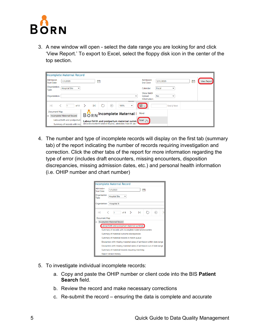

3. A new window will open - select the date range you are looking for and click 'View Report.' To export to Excel, select the floppy disk icon in the center of the top section.

| Incomplete Maternal Record                                    |                                                                                       |                                      |                           |   |                    |
|---------------------------------------------------------------|---------------------------------------------------------------------------------------|--------------------------------------|---------------------------|---|--------------------|
| Admission<br>1/1/2020<br>Start Date:                          | 僃                                                                                     | Admission<br>End Date:               | 3/31/2020                 | 霝 | <b>View Report</b> |
| Organization<br><b>Hospital Site</b><br>$\checkmark$<br>Type: |                                                                                       | Calendar:                            | Fiscal<br>$\check{ }$     |   |                    |
| Organization:                                                 | v                                                                                     | Show Batch<br>Upload<br>Information: | <b>No</b><br>$\checkmark$ |   |                    |
| of 8<br>К                                                     | <b>Service Street</b><br>$\triangleright$<br>$\leftrightarrow$<br>100%<br>$\check{ }$ | ᆸᆺ                                   | Find   Next               |   |                    |
| Document Map                                                  | <b>Incomplete Maternal</b>                                                            | Word                                 |                           |   |                    |
| Incomplete Maternal Record<br>$\Box$                          | <b>BORN</b>                                                                           |                                      |                           |   |                    |
| Labour/birth and postpartum                                   | Labour/birth and postpartum maternal summ                                             | Excel<br>յիդ                         |                           |   |                    |
| Summary of records with inco                                  | Alexandra Marine & General Hospital, admissions from 01-Jan-                          |                                      |                           |   |                    |

4. The number and type of incomplete records will display on the first tab (summary tab) of the report indicating the number of records requiring investigation and correction. Click the other tabs of the report for more information regarding the type of error (includes draft encounters, missing encounters, disposition discrepancies, missing admission dates, etc.) and personal health information (i.e. OHIP number and chart number)

| <b>Incomplete Maternal Record</b>                                     |  |  |  |  |  |  |  |  |  |  |
|-----------------------------------------------------------------------|--|--|--|--|--|--|--|--|--|--|
| Admission<br>1/1/2020<br>ħ<br><b>Start Date:</b>                      |  |  |  |  |  |  |  |  |  |  |
| Organization<br><b>Hospital Site</b><br>◡<br>Type:                    |  |  |  |  |  |  |  |  |  |  |
| Organization: Hospital X                                              |  |  |  |  |  |  |  |  |  |  |
| of 8<br>$\rightarrow$<br>ÞI<br>IК<br>1<br>$\leftarrow$                |  |  |  |  |  |  |  |  |  |  |
| Document Map                                                          |  |  |  |  |  |  |  |  |  |  |
| Incomplete Maternal Record<br>$\Box$                                  |  |  |  |  |  |  |  |  |  |  |
| Labour/birth and postpartum maternal summary                          |  |  |  |  |  |  |  |  |  |  |
| Summary of records with incomplete maternal encounters                |  |  |  |  |  |  |  |  |  |  |
| Summary of maternal outcome discrepancies                             |  |  |  |  |  |  |  |  |  |  |
| Summary of maternal records in match queue                            |  |  |  |  |  |  |  |  |  |  |
| Encounters with missing maternal dates of admission within date range |  |  |  |  |  |  |  |  |  |  |
| Encounters with missing maternal dates of admission out of date range |  |  |  |  |  |  |  |  |  |  |
| Summary of maternal records requiring matching                        |  |  |  |  |  |  |  |  |  |  |
| <b>Report version history</b>                                         |  |  |  |  |  |  |  |  |  |  |

- 5. To investigate individual incomplete records:
	- a. Copy and paste the OHIP number or client code into the BIS **Patient Search** field.
	- b. Review the record and make necessary corrections
	- c. Re-submit the record ensuring the data is complete and accurate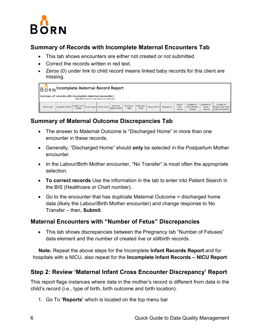

## <span id="page-5-0"></span>**Summary of Records with Incomplete Maternal Encounters Tab**

- This tab shows encounters are either not created or not submitted
- Correct the records written in red text.
- Zeros (0) under link to child record means linked baby records for this client are missing.

|           | B O R N <sup>Incomplete Maternal Record Report</sup>   |        |  |                                            |                           |                   |                   |              |            |                            |                                        |                                |                                                      |
|-----------|--------------------------------------------------------|--------|--|--------------------------------------------|---------------------------|-------------------|-------------------|--------------|------------|----------------------------|----------------------------------------|--------------------------------|------------------------------------------------------|
|           | Summary of records with incomplete maternal encounters |        |  | admissions from 01-Jan-2020 to 31-Mar-2021 |                           |                   |                   |              |            |                            |                                        |                                |                                                      |
| Chart Num | Hospital Visit ID Health card                          | number |  | Given name Family name                     | Maternal<br>date of birth | Admission<br>date | Admission<br>time | Labour/Birth | Postpartum | Link to<br>child<br>record | Number of<br>live/stillborn<br>fetuses | Number of<br>infant<br>records | Number of<br>linfants with birth<br>child encounters |

## <span id="page-5-1"></span>**Summary of Maternal Outcome Discrepancies Tab**

- The answer to Maternal Outcome is "Discharged Home" in more than one encounter in these records.
- Generally, "Discharged Home" should **only** be selected in the Postpartum Mother encounter.
- In the Labour/Birth Mother encounter, "No Transfer" is most often the appropriate selection.
- **To correct records** Use the information in the tab to enter into Patient Search in the BIS (Healthcare or Chart number).
- Go to the encounter that has duplicate Maternal Outcome = discharged home data (likely the Labour/Birth Mother encounter) and change response to No Transfer – then, **Submit**.

### <span id="page-5-2"></span>**Maternal Encounters with "Number of Fetus" Discrepancies**

• This tab shows discrepancies between the Pregnancy tab "Number of Fetuses" data element and the number of created live or stillbirth records.

**Note:** Repeat the above steps for the Incomplete **Infant Records Report** and for hospitals with a NICU, also repeat for the **Incomplete Infant Records – NICU Report**

### <span id="page-5-3"></span>**Step 2: Review 'Maternal Infant Cross Encounter Discrepancy' Report**

This report flags instances where data in the mother's record is different from data in the child's record (i.e., type of birth, birth outcome and birth location).

1. Go To **'Reports'** which is located on the top menu bar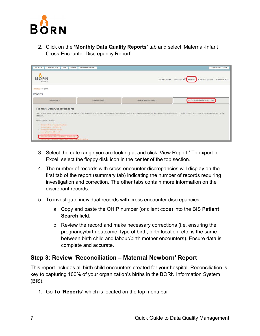

2. Click on the **'Monthly Data Quality Reports'** tab and select 'Maternal-Infant Cross-Encounter Discrepancy Report'.

| DATA DICTIONARY<br><b>HOMEPAGE</b><br>HELP<br>PROFILE                                                                                                                                                                                                                                                                                                  | SELECT ORGANIZATION     |                                                                                                                                                                                                                                | BORN\ereeson, Logout                                     |
|--------------------------------------------------------------------------------------------------------------------------------------------------------------------------------------------------------------------------------------------------------------------------------------------------------------------------------------------------------|-------------------------|--------------------------------------------------------------------------------------------------------------------------------------------------------------------------------------------------------------------------------|----------------------------------------------------------|
| <b>Bo</b><br><b>RN</b><br>Ontario                                                                                                                                                                                                                                                                                                                      |                         | Patient Search                                                                                                                                                                                                                 | Messages as Reports<br>Acknowledgement<br>Administration |
| Homepage + Reports<br>Reports                                                                                                                                                                                                                                                                                                                          |                         |                                                                                                                                                                                                                                |                                                          |
| <b>DASHBOARDS</b>                                                                                                                                                                                                                                                                                                                                      | <b>CLINICAL REPORTS</b> | ADMINISTRATIVE REPORTS                                                                                                                                                                                                         | MONTHLY DATA QUALITY REPORTS                             |
| Monthly Data Quality Reports<br>of the list.<br>Perinatal Quality Reports<br>Reconciliation Maternal Newborn<br>* Reconcillation - NICU/SCN<br>. Incomplete Maternal Record<br>. Incomplete infant Record<br>Inconsulata MILLI Jacobis<br>Maternal Infant Crows Encounter Discrepancy<br>C. Missing Data Blantens, Labour's Unitrant Postsa (um Mother |                         | The following reports are available to assist in the review of data submitted to BORN and complete data quality activities prior to monthly acknowledgement. It is recommended that each report is run beginning with the high |                                                          |

- 3. Select the date range you are looking at and click 'View Report.' To export to Excel, select the floppy disk icon in the center of the top section.
- 4. The number of records with cross-encounter discrepancies will display on the first tab of the report (summary tab) indicating the number of records requiring investigation and correction. The other tabs contain more information on the discrepant records.
- 5. To investigate individual records with cross encounter discrepancies:
	- a. Copy and paste the OHIP number (or client code) into the BIS **Patient Search** field.
	- b. Review the record and make necessary corrections (i.e. ensuring the pregnancy/birth outcome, type of birth, birth location, etc. is the same between birth child and labour/birth mother encounters). Ensure data is complete and accurate.

### <span id="page-6-0"></span>**Step 3: Review 'Reconciliation – Maternal Newborn' Report**

This report includes all birth child encounters created for your hospital. Reconciliation is key to capturing 100% of your organization's births in the BORN Information System (BIS).

1. Go To **'Reports'** which is located on the top menu bar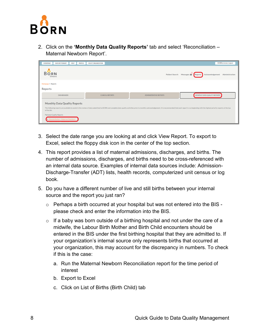

2. Click on the **'Monthly Data Quality Reports'** tab and select 'Reconciliation – Maternal Newborn Report'.

| <b>DATA DICTIONARY</b><br><b>HELP</b><br><b>HOMEPAGE</b><br><b>PROFILE</b>                                                                               | <b>SELECT ORGANIZATION</b> |                               | <b>BORN</b> \ereeson, Logout                                                                                                                                                                                                   |
|----------------------------------------------------------------------------------------------------------------------------------------------------------|----------------------------|-------------------------------|--------------------------------------------------------------------------------------------------------------------------------------------------------------------------------------------------------------------------------|
| <b>Bo</b><br><b>RN</b><br>Ontario                                                                                                                        |                            |                               | Patient Search Messages <b>Example 2</b> Reports<br>Acknowledgement<br>Administration                                                                                                                                          |
| Homepage $\rightarrow$ Reports                                                                                                                           |                            |                               |                                                                                                                                                                                                                                |
| <b>Reports</b>                                                                                                                                           |                            |                               |                                                                                                                                                                                                                                |
| <b>DASHBOARDS</b>                                                                                                                                        | <b>CLINICAL REPORTS</b>    | <b>ADMINISTRATIVE REPORTS</b> | MONTHLY DATA QUALITY REPORTS                                                                                                                                                                                                   |
| <b>Monthly Data Quality Reports</b><br>of the list.<br>Perinatal Quality Reports<br>Reconciliation - Maternal Newborn<br><b>Neuerlemocion Nicolae De</b> |                            |                               | The following reports are available to assist in the review of data submitted to BORN and complete data quality activities prior to monthly acknowledgement. It is recommended that each report is run beginning with the high |

- 3. Select the date range you are looking at and click View Report. To export to Excel, select the floppy disk icon in the center of the top section.
- 4. This report provides a list of maternal admissions, discharges, and births. The number of admissions, discharges, and births need to be cross-referenced with an internal data source. Examples of internal data sources include: Admission-Discharge-Transfer (ADT) lists, health records, computerized unit census or log book.
- 5. Do you have a different number of live and still births between your internal source and the report you just ran?
	- $\circ$  Perhaps a birth occurred at your hospital but was not entered into the BIS please check and enter the information into the BIS.
	- $\circ$  If a baby was born outside of a birthing hospital and not under the care of a midwife, the Labour Birth Mother and Birth Child encounters should be entered in the BIS under the first birthing hospital that they are admitted to. If your organization's internal source only represents births that occurred at your organization, this may account for the discrepancy in numbers. To check if this is the case:
		- a. Run the Maternal Newborn Reconciliation report for the time period of interest
		- b. Export to Excel
		- c. Click on List of Births (Birth Child) tab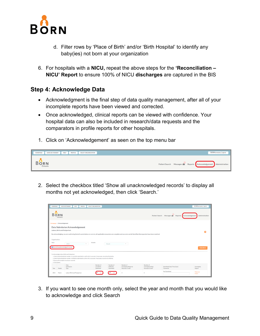

- d. Filter rows by 'Place of Birth' and/or 'Birth Hospital' to identify any baby(ies) not born at your organization
- 6. For hospitals with a **NICU,** repeat the above steps for the **'Reconciliation NICU' Report** to ensure 100% of NICU **discharges** are captured in the BIS

#### <span id="page-8-0"></span>**Step 4: Acknowledge Data**

- Acknowledgment is the final step of data quality management, after all of your incomplete reports have been viewed and corrected.
- Once acknowledged, clinical reports can be viewed with confidence. Your hospital data can also be included in research/data requests and the comparators in profile reports for other hospitals.
- 1. Click on 'Acknowledgement' as seen on the top menu bar

| <b>HOMEPAGE</b> | <b>DATA DICTIONARY</b> | <b>HELP</b> | <b>PROFILE</b> | <b>SELECT ORGANIZATION</b> | <b>BORN</b> \ereeson, Logout                                                    |
|-----------------|------------------------|-------------|----------------|----------------------------|---------------------------------------------------------------------------------|
| Ontario         |                        |             |                |                            | Patient Search Messages <b>Reports</b> Acknowledgement<br><b>Administration</b> |

2. Select the checkbox titled 'Show all unacknowledged records' to display all months not yet acknowledged, then click 'Search.'

| <b>HOMEPAGE</b>  |                                     | <b>DATA DICTIONARY</b><br><b>HELP</b><br><b>PROFILE</b>                                                                                                                              | <b>SELECT ORGANIZATION</b>                   |                                       |                                                       |                                                     |                                                 |                      | <b>BORN</b> vereeson, Logout |
|------------------|-------------------------------------|--------------------------------------------------------------------------------------------------------------------------------------------------------------------------------------|----------------------------------------------|---------------------------------------|-------------------------------------------------------|-----------------------------------------------------|-------------------------------------------------|----------------------|------------------------------|
| R                | IR N<br>Ontario                     |                                                                                                                                                                                      |                                              |                                       |                                                       |                                                     | Patient Search Messages Reports Acknowledgement |                      | Administration               |
|                  | Homepage > Acknowledgement          |                                                                                                                                                                                      |                                              |                                       |                                                       |                                                     |                                                 |                      |                              |
|                  |                                     | <b>Data Submission Acknowledgement</b>                                                                                                                                               |                                              |                                       |                                                       |                                                     |                                                 |                      |                              |
|                  | <b>Labour, Birth and Postpartum</b> |                                                                                                                                                                                      |                                              |                                       |                                                       |                                                     |                                                 |                      | Q                            |
|                  |                                     | By acknowledging, you are confirming that all counts below are correct, all applicable encounters are complete and accurate and all identified discrepancies have been resolved.     |                                              |                                       |                                                       |                                                     |                                                 |                      |                              |
| Organization:    |                                     |                                                                                                                                                                                      |                                              |                                       |                                                       |                                                     |                                                 |                      |                              |
| Year:            |                                     | 2021<br>$\overline{\phantom{a}}$                                                                                                                                                     | Month:                                       | March                                 | ٠                                                     |                                                     |                                                 |                      |                              |
|                  |                                     | Show all unacknowledged records                                                                                                                                                      |                                              |                                       |                                                       |                                                     |                                                 |                      |                              |
|                  |                                     |                                                                                                                                                                                      |                                              |                                       |                                                       |                                                     |                                                 |                      | <b>Q SEARCH</b>              |
|                  |                                     | To Acknowledge Labour/Birth and Postpartum:                                                                                                                                          |                                              |                                       |                                                       |                                                     |                                                 |                      |                              |
|                  |                                     | 1. Check the box beside the Number of Live Births Submitted to confirm this is accurate. If inaccurate, reconcile all live births.                                                   |                                              |                                       |                                                       |                                                     |                                                 |                      |                              |
|                  |                                     | 2. Check the box beside the Number of Stillbirths Submitted to confirm this is accurate. If inaccurate, reconcile all stillbirths.<br>3. Ensure all Incomplete records are resolved. |                                              |                                       |                                                       |                                                     |                                                 |                      |                              |
| 4. Click Submit. |                                     |                                                                                                                                                                                      |                                              |                                       |                                                       |                                                     |                                                 |                      |                              |
| Year             | Month                               | Data<br>Submission<br>Type                                                                                                                                                           | Number of<br><b>Live Births</b><br>Submitted | Number of<br>Stillbirths<br>Submitted | Number of<br>Incomplete Maternal<br>Records in Draft* | Number of<br>Incomplete Infant<br>Records in Draft* | Submitted Date/Time (User)<br>Comments          | Incomplete<br>Report |                              |
| 2021             | March                               | Labour/Birth and Postpartum                                                                                                                                                          |                                              |                                       | $\overline{3}$                                        | 6                                                   | Not Submitted                                   | Maternal<br>Infant   |                              |

3. If you want to see one month only, select the year and month that you would like to acknowledge and click Search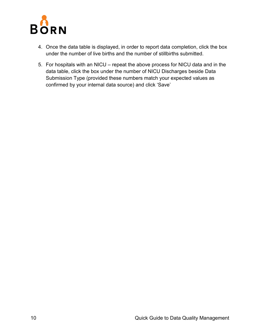

- 4. Once the data table is displayed, in order to report data completion, click the box under the number of live births and the number of stillbirths submitted.
- 5. For hospitals with an NICU repeat the above process for NICU data and in the data table, click the box under the number of NICU Discharges beside Data Submission Type (provided these numbers match your expected values as confirmed by your internal data source) and click 'Save'